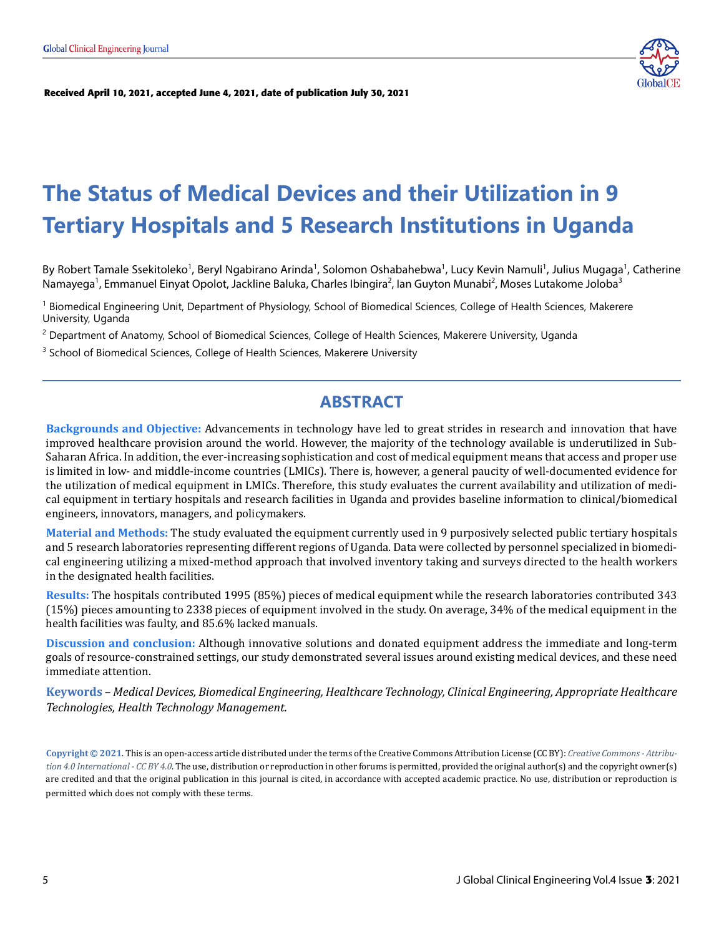

**[Received April 10, 2021, accepted June 4, 2021, date of publication July 30, 2021](http://www.globalce.org)**

# **The Status of Medical Devices and their Utilization in 9 Tertiary Hospitals and 5 Research Institutions in Uganda**

By Robert Tamale Ssekitoleko<sup>1</sup>, Beryl Ngabirano Arinda<sup>1</sup>, Solomon Oshabahebwa<sup>1</sup>, Lucy Kevin Namuli<sup>1</sup>, Julius Mugaga<sup>1</sup>, Catherine Namayega<sup>1</sup>, Emmanuel Einyat Opolot, Jackline Baluka, Charles Ibingira<sup>2</sup>, Ian Guyton Munabi<sup>2</sup>, Moses Lutakome Joloba<sup>3</sup>

<sup>1</sup> Biomedical Engineering Unit, Department of Physiology, School of Biomedical Sciences, College of Health Sciences, Makerere University, Uganda

<sup>2</sup> Department of Anatomy, School of Biomedical Sciences, College of Health Sciences, Makerere University, Uganda

<sup>3</sup> School of Biomedical Sciences, College of Health Sciences, Makerere University

# **ABSTRACT**

**Backgrounds and Objective:** Advancements in technology have led to great strides in research and innovation that have improved healthcare provision around the world. However, the majority of the technology available is underutilized in Sub-Saharan Africa. In addition, the ever-increasing sophistication and cost of medical equipment means that access and proper use is limited in low- and middle-income countries (LMICs). There is, however, a general paucity of well-documented evidence for the utilization of medical equipment in LMICs. Therefore, this study evaluates the current availability and utilization of medical equipment in tertiary hospitals and research facilities in Uganda and provides baseline information to clinical/biomedical engineers, innovators, managers, and policymakers.

**Material and Methods:** The study evaluated the equipment currently used in 9 purposively selected public tertiary hospitals and 5 research laboratories representing different regions of Uganda. Data were collected by personnel specialized in biomedical engineering utilizing a mixed-method approach that involved inventory taking and surveys directed to the health workers in the designated health facilities.

**Results:** The hospitals contributed 1995 (85%) pieces of medical equipment while the research laboratories contributed 343 (15%) pieces amounting to 2338 pieces of equipment involved in the study. On average, 34% of the medical equipment in the health facilities was faulty, and 85.6% lacked manuals.

**Discussion and conclusion:** Although innovative solutions and donated equipment address the immediate and long-term goals of resource-constrained settings, our study demonstrated several issues around existing medical devices, and these need immediate attention.

**Keywords** *– Medical Devices, Biomedical Engineering, Healthcare Technology, Clinical Engineering, Appropriate Healthcare Technologies, Health Technology Management.*

**Copyright © 2021**. This is an open-access article distributed under the terms of the Creative Commons Attribution License (CC BY): *Creative Commons - Attribution 4.0 International - CC BY 4.0*. The use, distribution or reproduction in other forums is permitted, provided the original author(s) and the copyright owner(s) are credited and that the original publication in this journal is cited, in accordance with accepted academic practice. No use, distribution or reproduction is permitted which does not comply with these terms.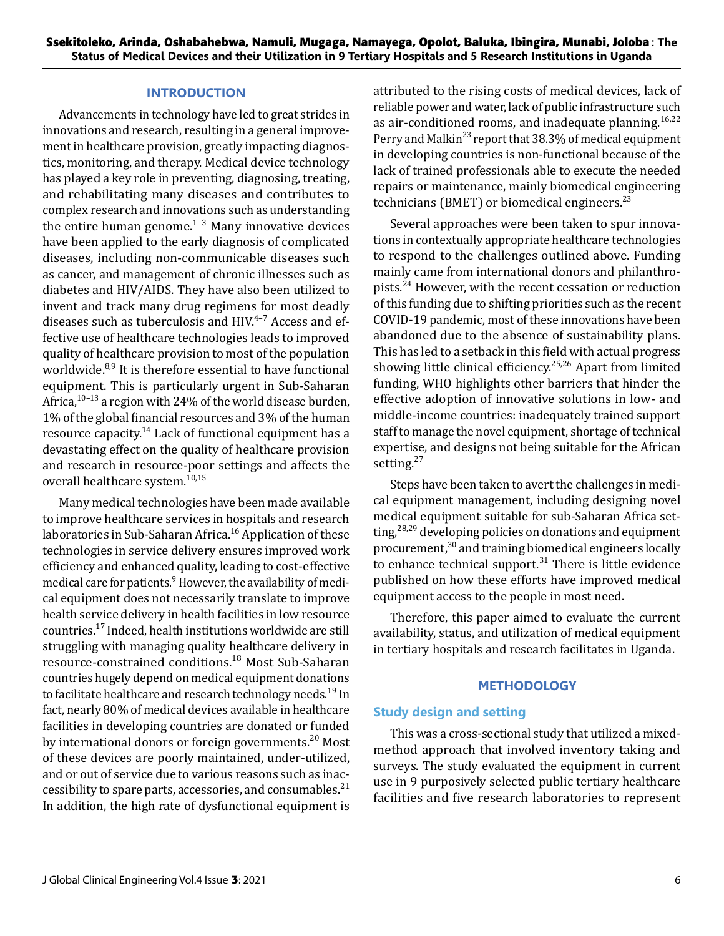### **INTRODUCTION**

Advancements in technology have led to great strides in innovations and research, resulting in a general improvement in healthcare provision, greatly impacting diagnostics, monitoring, and therapy. Medical device technology has played a key role in preventing, diagnosing, treating, and rehabilitating many diseases and contributes to complex research and innovations such as understanding the entire human genome. $1-3$  Many innovative devices have been applied to the early diagnosis of complicated diseases, including non-communicable diseases such as cancer, and management of chronic illnesses such as diabetes and HIV/AIDS. They have also been utilized to invent and track many drug regimens for most deadly diseases such as tuberculosis and  $HIV.<sup>4-7</sup>$  Access and effective use of healthcare technologies leads to improved quality of healthcare provision to most of the population worldwide.<sup>8,9</sup> It is therefore essential to have functional equipment. This is particularly urgent in Sub-Saharan Africa,  $10-13$  a region with 24% of the world disease burden, 1% of the global financial resources and 3% of the human resource capacity.<sup>14</sup> Lack of functional equipment has a devastating effect on the quality of healthcare provision and research in resource-poor settings and affects the overall healthcare system.<sup>10,15</sup>

Many medical technologies have been made available to improve healthcare services in hospitals and research laboratories in Sub-Saharan Africa.<sup>16</sup> Application of these technologies in service delivery ensures improved work efficiency and enhanced quality, leading to cost-effective medical care for patients.<sup>9</sup> However, the availability of medical equipment does not necessarily translate to improve health service delivery in health facilities in low resource countries.17 Indeed, health institutions worldwide are still struggling with managing quality healthcare delivery in resource-constrained conditions.18 Most Sub-Saharan countries hugely depend on medical equipment donations to facilitate healthcare and research technology needs.<sup>19</sup> In fact, nearly 80% of medical devices available in healthcare facilities in developing countries are donated or funded by international donors or foreign governments.<sup>20</sup> Most of these devices are poorly maintained, under-utilized, and or out of service due to various reasons such as inaccessibility to spare parts, accessories, and consumables.<sup>21</sup> In addition, the high rate of dysfunctional equipment is attributed to the rising costs of medical devices, lack of reliable power and water, lack of public infrastructure such as air-conditioned rooms, and inadequate planning.  $16,22$ Perry and Malkin<sup>23</sup> report that 38.3% of medical equipment in developing countries is non-functional because of the lack of trained professionals able to execute the needed repairs or maintenance, mainly biomedical engineering technicians (BMET) or biomedical engineers. $^{23}$ 

Several approaches were been taken to spur innovations in contextually appropriate healthcare technologies to respond to the challenges outlined above. Funding mainly came from international donors and philanthropists.24 However, with the recent cessation or reduction of this funding due to shifting priorities such as the recent COVID-19 pandemic, most of these innovations have been abandoned due to the absence of sustainability plans. This has led to a setback in this field with actual progress showing little clinical efficiency.<sup>25,26</sup> Apart from limited funding, WHO highlights other barriers that hinder the effective adoption of innovative solutions in low- and middle-income countries: inadequately trained support staff to manage the novel equipment, shortage of technical expertise, and designs not being suitable for the African setting.<sup>27</sup>

Steps have been taken to avert the challenges in medical equipment management, including designing novel medical equipment suitable for sub-Saharan Africa setting,  $28,29$  developing policies on donations and equipment procurement, $30$  and training biomedical engineers locally to enhance technical support. $31$  There is little evidence published on how these efforts have improved medical equipment access to the people in most need.

Therefore, this paper aimed to evaluate the current availability, status, and utilization of medical equipment in tertiary hospitals and research facilitates in Uganda.

#### **METHODOLOGY**

#### **Study design and setting**

This was a cross-sectional study that utilized a mixedmethod approach that involved inventory taking and surveys. The study evaluated the equipment in current use in 9 purposively selected public tertiary healthcare facilities and five research laboratories to represent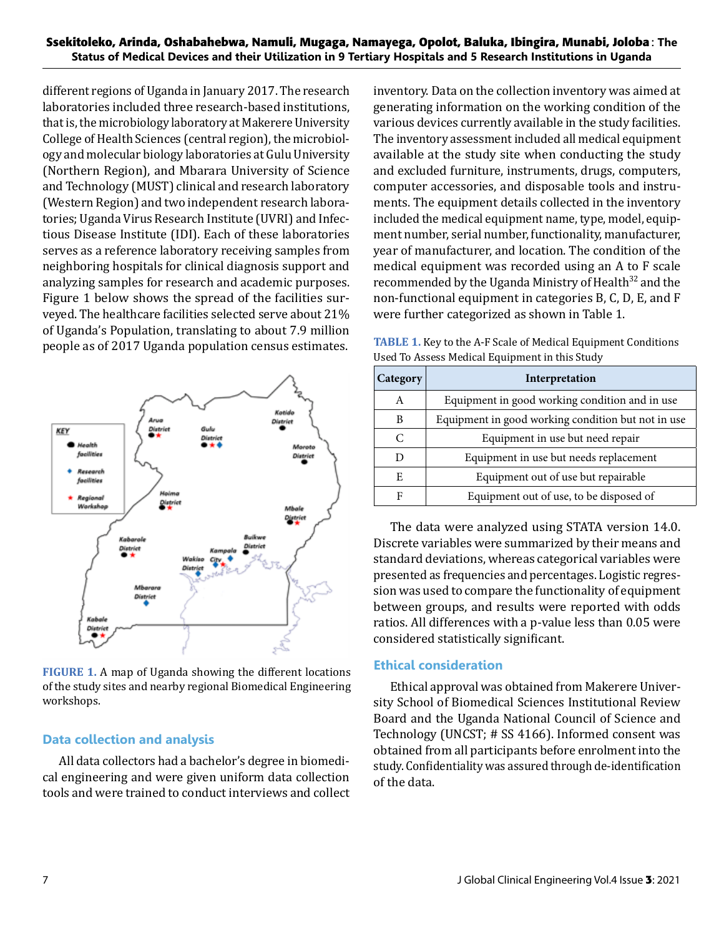different regions of Uganda in January 2017. The research laboratories included three research-based institutions, that is, the microbiology laboratory at Makerere University College of Health Sciences (central region), the microbiology and molecular biology laboratories at Gulu University (Northern Region), and Mbarara University of Science and Technology (MUST) clinical and research laboratory (Western Region) and two independent research laboratories; Uganda Virus Research Institute (UVRI) and Infectious Disease Institute (IDI). Each of these laboratories serves as a reference laboratory receiving samples from neighboring hospitals for clinical diagnosis support and analyzing samples for research and academic purposes. Figure 1 below shows the spread of the facilities surveyed. The healthcare facilities selected serve about 21% of Uganda's Population, translating to about 7.9 million people as of 2017 Uganda population census estimates.



**FIGURE 1.** A map of Uganda showing the different locations of the study sites and nearby regional Biomedical Engineering workshops.

# **Data collection and analysis**

All data collectors had a bachelor's degree in biomedical engineering and were given uniform data collection tools and were trained to conduct interviews and collect inventory. Data on the collection inventory was aimed at generating information on the working condition of the various devices currently available in the study facilities. The inventory assessment included all medical equipment available at the study site when conducting the study and excluded furniture, instruments, drugs, computers, computer accessories, and disposable tools and instruments. The equipment details collected in the inventory included the medical equipment name, type, model, equipment number, serial number, functionality, manufacturer, year of manufacturer, and location. The condition of the medical equipment was recorded using an A to F scale recommended by the Uganda Ministry of Health<sup>32</sup> and the non-functional equipment in categories B, C, D, E, and F were further categorized as shown in Table 1.

**TABLE 1.** Key to the A-F Scale of Medical Equipment Conditions Used To Assess Medical Equipment in this Study

| Category | Interpretation                                     |
|----------|----------------------------------------------------|
| A        | Equipment in good working condition and in use     |
| B        | Equipment in good working condition but not in use |
| C        | Equipment in use but need repair                   |
|          | Equipment in use but needs replacement             |
| E        | Equipment out of use but repairable                |
| F        | Equipment out of use, to be disposed of            |

The data were analyzed using STATA version 14.0. Discrete variables were summarized by their means and standard deviations, whereas categorical variables were presented as frequencies and percentages. Logistic regression was used to compare the functionality of equipment between groups, and results were reported with odds ratios. All differences with a p-value less than 0.05 were considered statistically significant.

# **Ethical consideration**

Ethical approval was obtained from Makerere University School of Biomedical Sciences Institutional Review Board and the Uganda National Council of Science and Technology (UNCST; # SS 4166). Informed consent was obtained from all participants before enrolment into the study. Confidentiality was assured through de-identification of the data.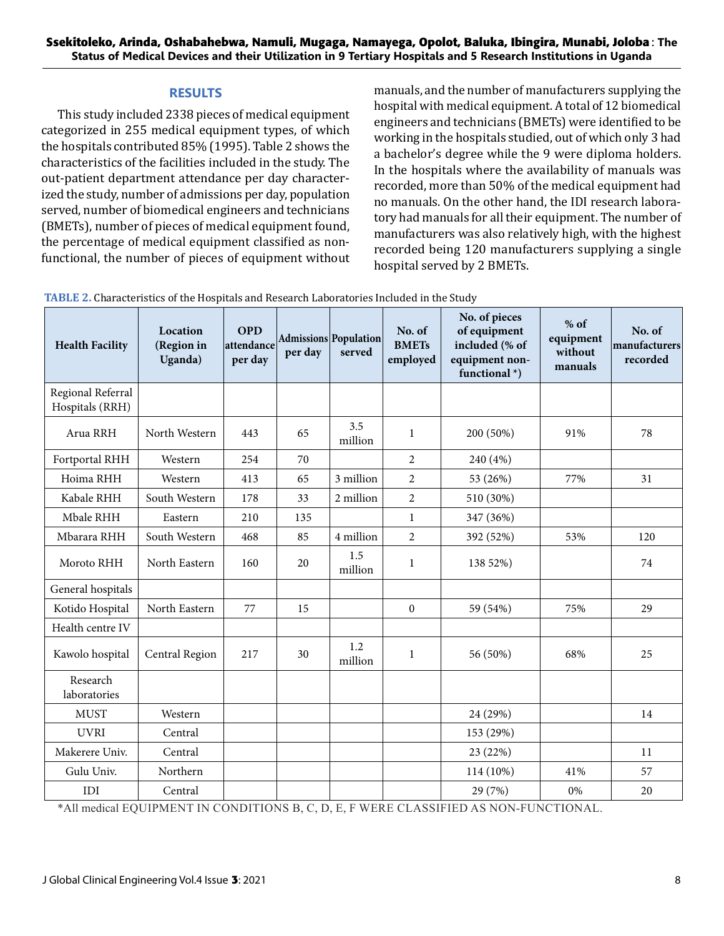#### **RESULTS**

This study included 2338 pieces of medical equipment categorized in 255 medical equipment types, of which the hospitals contributed 85% (1995). Table 2 shows the characteristics of the facilities included in the study. The out-patient department attendance per day characterized the study, number of admissions per day, population served, number of biomedical engineers and technicians (BMETs), number of pieces of medical equipment found, the percentage of medical equipment classified as nonfunctional, the number of pieces of equipment without manuals, and the number of manufacturers supplying the hospital with medical equipment. A total of 12 biomedical engineers and technicians (BMETs) were identified to be working in the hospitals studied, out of which only 3 had a bachelor's degree while the 9 were diploma holders. In the hospitals where the availability of manuals was recorded, more than 50% of the medical equipment had no manuals. On the other hand, the IDI research laboratory had manuals for all their equipment. The number of manufacturers was also relatively high, with the highest recorded being 120 manufacturers supplying a single hospital served by 2 BMETs.

| <b>Health Facility</b>               | Location<br>(Region in<br>Uganda) | <b>OPD</b><br>attendance<br>per day | per day | Admissions Population<br>served | No. of<br><b>BMETs</b><br>employed | No. of pieces<br>of equipment<br>included (% of<br>equipment non-<br>functional $*$ ) | $%$ of<br>equipment<br>without<br>manuals | No. of<br>manufacturers<br>recorded |
|--------------------------------------|-----------------------------------|-------------------------------------|---------|---------------------------------|------------------------------------|---------------------------------------------------------------------------------------|-------------------------------------------|-------------------------------------|
| Regional Referral<br>Hospitals (RRH) |                                   |                                     |         |                                 |                                    |                                                                                       |                                           |                                     |
| Arua RRH                             | North Western                     | 443                                 | 65      | 3.5<br>million                  | $\mathbf{1}$                       | 200 (50%)<br>91%                                                                      |                                           | 78                                  |
| Fortportal RHH                       | Western                           | 254                                 | 70      |                                 | $\overline{2}$                     | 240 (4%)                                                                              |                                           |                                     |
| Hoima RHH                            | Western                           | 413                                 | 65      | 3 million                       | $\overline{2}$                     | 53 (26%)<br>77%                                                                       |                                           | 31                                  |
| Kabale RHH                           | South Western                     | 178                                 | 33      | 2 million                       | $\overline{2}$                     | 510 (30%)                                                                             |                                           |                                     |
| Mbale RHH                            | Eastern                           | 210                                 | 135     |                                 | $\mathbf{1}$                       | 347 (36%)                                                                             |                                           |                                     |
| Mbarara RHH                          | South Western                     | 468                                 | 85      | 4 million                       | $\overline{2}$                     | 392 (52%)                                                                             | 53%                                       | 120                                 |
| Moroto RHH                           | North Eastern                     | 160                                 | 20      | 1.5<br>million                  | $\mathbf{1}$                       | 138 52%)                                                                              |                                           | 74                                  |
| General hospitals                    |                                   |                                     |         |                                 |                                    |                                                                                       |                                           |                                     |
| Kotido Hospital                      | North Eastern                     | 77                                  | 15      |                                 | $\Omega$                           | 59 (54%)                                                                              | 75%                                       | 29                                  |
| Health centre IV                     |                                   |                                     |         |                                 |                                    |                                                                                       |                                           |                                     |
| Kawolo hospital                      | Central Region                    | 217                                 | 30      | 1.2<br>million                  | $\mathbf{1}$                       | 56 (50%)                                                                              | 68%                                       | 25                                  |
| Research<br>laboratories             |                                   |                                     |         |                                 |                                    |                                                                                       |                                           |                                     |
| <b>MUST</b>                          | Western                           |                                     |         |                                 |                                    | 24 (29%)                                                                              |                                           | 14                                  |
| <b>UVRI</b>                          | Central                           |                                     |         |                                 |                                    | 153 (29%)                                                                             |                                           |                                     |
| Makerere Univ.                       | Central                           |                                     |         |                                 |                                    | 23 (22%)                                                                              |                                           | 11                                  |
| Gulu Univ.                           | Northern                          |                                     |         |                                 |                                    | 114 (10%)                                                                             | 41%                                       | 57                                  |
| IDI                                  | Central                           |                                     |         |                                 |                                    | 29 (7%)                                                                               | 0%                                        | 20                                  |

**TABLE 2.** Characteristics of the Hospitals and Research Laboratories Included in the Study

\*All medical EQUIPMENT IN CONDITIONS B, C, D, E, F WERE CLASSIFIED AS NON-FUNCTIONAL.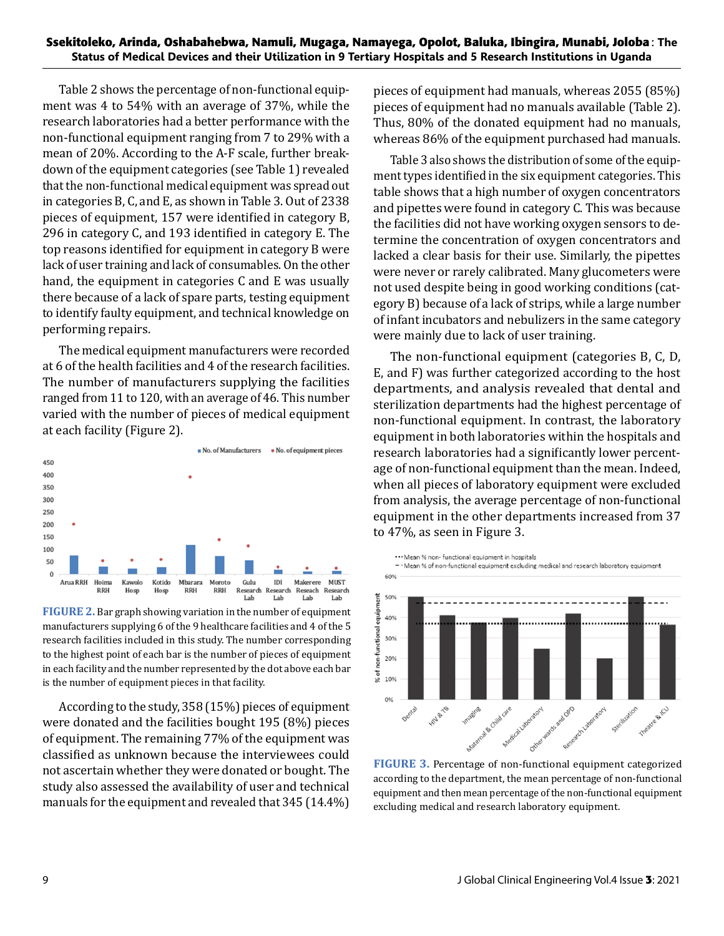Table 2 shows the percentage of non-functional equipment was 4 to 54% with an average of 37%, while the research laboratories had a better performance with the non-functional equipment ranging from 7 to 29% with a mean of 20%. According to the A-F scale, further breakdown of the equipment categories (see Table 1) revealed that the non-functional medical equipment was spread out in categories B, C, and E, as shown in Table 3. Out of 2338 pieces of equipment, 157 were identified in category B, 296 in category C, and 193 identified in category E. The top reasons identified for equipment in category B were lack of user training and lack of consumables. On the other hand, the equipment in categories C and E was usually there because of a lack of spare parts, testing equipment to identify faulty equipment, and technical knowledge on performing repairs.

The medical equipment manufacturers were recorded at 6 of the health facilities and 4 of the research facilities. The number of manufacturers supplying the facilities ranged from 11 to 120, with an average of 46. This number varied with the number of pieces of medical equipment at each facility (Figure 2).



**FIGURE 2.** Bar graph showing variation in the number of equipment manufacturers supplying 6 of the 9 healthcare facilities and 4 of the 5 research facilities included in this study. The number corresponding to the highest point of each bar is the number of pieces of equipment in each facility and the number represented by the dot above each bar is the number of equipment pieces in that facility.

According to the study, 358 (15%) pieces of equipment were donated and the facilities bought 195 (8%) pieces of equipment. The remaining 77% of the equipment was classified as unknown because the interviewees could not ascertain whether they were donated or bought. The study also assessed the availability of user and technical manuals for the equipment and revealed that 345 (14.4%)

pieces of equipment had manuals, whereas 2055 (85%) pieces of equipment had no manuals available (Table 2). Thus, 80% of the donated equipment had no manuals, whereas 86% of the equipment purchased had manuals.

Table 3 also shows the distribution of some of the equipment types identified in the six equipment categories. This table shows that a high number of oxygen concentrators and pipettes were found in category C. This was because the facilities did not have working oxygen sensors to determine the concentration of oxygen concentrators and lacked a clear basis for their use. Similarly, the pipettes were never or rarely calibrated. Many glucometers were not used despite being in good working conditions (category B) because of a lack of strips, while a large number of infant incubators and nebulizers in the same category were mainly due to lack of user training.

The non-functional equipment (categories B, C, D, E, and F) was further categorized according to the host departments, and analysis revealed that dental and sterilization departments had the highest percentage of non-functional equipment. In contrast, the laboratory equipment in both laboratories within the hospitals and research laboratories had a significantly lower percentage of non-functional equipment than the mean. Indeed, when all pieces of laboratory equipment were excluded from analysis, the average percentage of non-functional equipment in the other departments increased from 37 to 47%, as seen in Figure 3.



**FIGURE 3.** Percentage of non-functional equipment categorized according to the department, the mean percentage of non-functional equipment and then mean percentage of the non-functional equipment excluding medical and research laboratory equipment.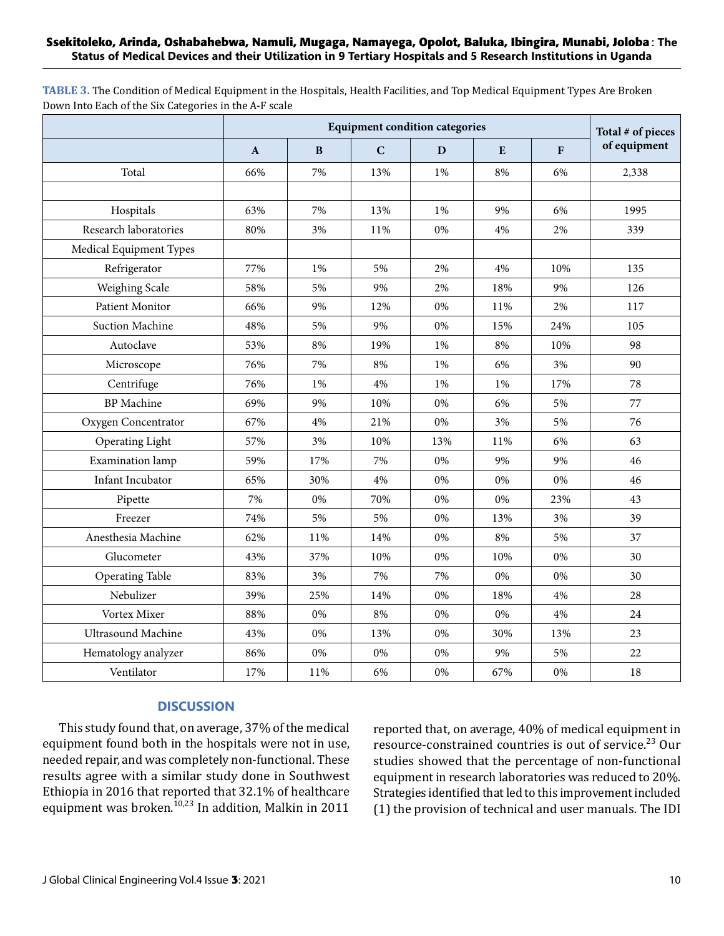#### **Ssekitoleko, Arinda, Oshabahebwa, Namuli, Mugaga, Namayega, Opolot, Baluka, Ibingira, Munabi, Joloba**: **The Status of Medical Devices and their Utilization in 9 Tertiary Hospitals and 5 Research Institutions in Uganda**

**TABLE 3.** The Condition of Medical Equipment in the Hospitals, Health Facilities, and Top Medical Equipment Types Are Broken Down Into Each of the Six Categories in the A-F scale

|                           |              | Total # of pieces |             |       |     |              |              |  |
|---------------------------|--------------|-------------------|-------------|-------|-----|--------------|--------------|--|
|                           | $\mathbf{A}$ | B                 | $\mathbf C$ | D     | E   | $\mathbf{F}$ | of equipment |  |
| Total                     | 66%          | 7%                | 13%         | 1%    | 8%  | 6%           | 2,338        |  |
|                           |              |                   |             |       |     |              |              |  |
| Hospitals                 | 63%          | 7%                | 13%         | 1%    | 9%  | 6%           | 1995         |  |
| Research laboratories     | 80%          | 3%                | 11%         | 0%    | 4%  | 2%           | 339          |  |
| Medical Equipment Types   |              |                   |             |       |     |              |              |  |
| Refrigerator              | 77%          | 1%                | 5%          | 2%    | 4%  | 10%          | 135          |  |
| Weighing Scale            | 58%          | 5%                | 9%          | 2%    | 18% | 9%           | 126          |  |
| Patient Monitor           | 66%          | 9%                | 12%         | 0%    | 11% | 2%           | 117          |  |
| <b>Suction Machine</b>    | 48%          | 5%                | 9%          | 0%    | 15% | 24%          | 105          |  |
| Autoclave                 | 53%          | 8%                | 19%         | 1%    | 8%  | 10%          | 98           |  |
| Microscope                | 76%          | 7%                | 8%          | 1%    | 6%  | 3%           | 90           |  |
| Centrifuge                | 76%          | 1%                | 4%          | 1%    | 1%  | 17%          | 78           |  |
| <b>BP</b> Machine         | 69%          | 9%                | 10%         | $0\%$ | 6%  | 5%           | 77           |  |
| Oxygen Concentrator       | 67%          | 4%                | 21%         | 0%    | 3%  | 5%           | 76           |  |
| Operating Light           | 57%          | 3%                | 10%         | 13%   | 11% | 6%           | 63           |  |
| Examination lamp          | 59%          | 17%               | 7%          | 0%    | 9%  | 9%           | 46           |  |
| Infant Incubator          | 65%          | 30%               | 4%          | 0%    | 0%  | 0%           | 46           |  |
| Pipette                   | 7%           | 0%                | 70%         | 0%    | 0%  | 23%          | 43           |  |
| Freezer                   | 74%          | 5%                | 5%          | 0%    | 13% | 3%           | 39           |  |
| Anesthesia Machine        | 62%          | 11%               | 14%         | 0%    | 8%  | 5%           | 37           |  |
| Glucometer                | 43%          | 37%               | 10%         | 0%    | 10% | $0\%$        | 30           |  |
| <b>Operating Table</b>    | 83%          | 3%                | 7%          | 7%    | 0%  | $0\%$        | 30           |  |
| Nebulizer                 | 39%          | 25%               | 14%         | 0%    | 18% | 4%           | 28           |  |
| Vortex Mixer              | 88%          | 0%                | 8%          | 0%    | 0%  | 4%           | 24           |  |
| <b>Ultrasound Machine</b> | 43%          | 0%                | 13%         | 0%    | 30% | 13%          | 23           |  |
| Hematology analyzer       | 86%          | 0%                | 0%          | 0%    | 9%  | 5%           | 22           |  |
| Ventilator                | 17%          | 11%               | 6%          | 0%    | 67% | $0\%$        | 18           |  |

#### **DISCUSSION**

This study found that, on average, 37% of the medical equipment found both in the hospitals were not in use, needed repair, and was completely non-functional. These results agree with a similar study done in Southwest Ethiopia in 2016 that reported that 32.1% of healthcare equipment was broken.<sup>10,23</sup> In addition, Malkin in 2011 reported that, on average, 40% of medical equipment in resource-constrained countries is out of service.<sup>23</sup> Our studies showed that the percentage of non-functional equipment in research laboratories was reduced to 20%. Strategies identified that led to this improvement included (1) the provision of technical and user manuals. The IDI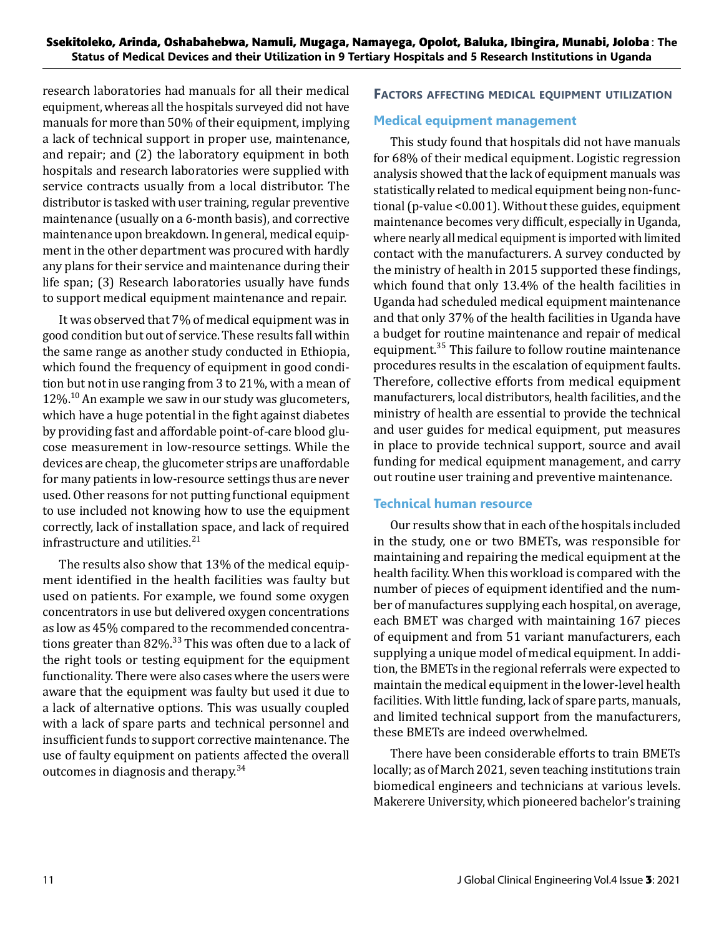research laboratories had manuals for all their medical equipment, whereas all the hospitals surveyed did not have manuals for more than 50% of their equipment, implying a lack of technical support in proper use, maintenance, and repair; and (2) the laboratory equipment in both hospitals and research laboratories were supplied with service contracts usually from a local distributor. The distributor is tasked with user training, regular preventive maintenance (usually on a 6-month basis), and corrective maintenance upon breakdown. In general, medical equipment in the other department was procured with hardly any plans for their service and maintenance during their life span; (3) Research laboratories usually have funds to support medical equipment maintenance and repair.

It was observed that 7% of medical equipment was in good condition but out of service. These results fall within the same range as another study conducted in Ethiopia, which found the frequency of equipment in good condition but not in use ranging from 3 to 21%, with a mean of  $12\%$ .<sup>10</sup> An example we saw in our study was glucometers, which have a huge potential in the fight against diabetes by providing fast and affordable point-of-care blood glucose measurement in low-resource settings. While the devices are cheap, the glucometer strips are unaffordable for many patients in low-resource settings thus are never used. Other reasons for not putting functional equipment to use included not knowing how to use the equipment correctly, lack of installation space, and lack of required infrastructure and utilities.<sup>21</sup>

The results also show that 13% of the medical equipment identified in the health facilities was faulty but used on patients. For example, we found some oxygen concentrators in use but delivered oxygen concentrations as low as 45% compared to the recommended concentrations greater than  $82\%$ .<sup>33</sup> This was often due to a lack of the right tools or testing equipment for the equipment functionality. There were also cases where the users were aware that the equipment was faulty but used it due to a lack of alternative options. This was usually coupled with a lack of spare parts and technical personnel and insufficient funds to support corrective maintenance. The use of faulty equipment on patients affected the overall outcomes in diagnosis and therapy.<sup>34</sup>

#### **Factors affecting medical equipment utilization**

#### **Medical equipment management**

This study found that hospitals did not have manuals for 68% of their medical equipment. Logistic regression analysis showed that the lack of equipment manuals was statistically related to medical equipment being non-functional (p-value <0.001). Without these guides, equipment maintenance becomes very difficult, especially in Uganda, where nearly all medical equipment is imported with limited contact with the manufacturers. A survey conducted by the ministry of health in 2015 supported these findings, which found that only 13.4% of the health facilities in Uganda had scheduled medical equipment maintenance and that only 37% of the health facilities in Uganda have a budget for routine maintenance and repair of medical equipment.<sup>35</sup> This failure to follow routine maintenance procedures results in the escalation of equipment faults. Therefore, collective efforts from medical equipment manufacturers, local distributors, health facilities, and the ministry of health are essential to provide the technical and user guides for medical equipment, put measures in place to provide technical support, source and avail funding for medical equipment management, and carry out routine user training and preventive maintenance.

#### **Technical human resource**

Our results show that in each of the hospitals included in the study, one or two BMETs, was responsible for maintaining and repairing the medical equipment at the health facility. When this workload is compared with the number of pieces of equipment identified and the number of manufactures supplying each hospital, on average, each BMET was charged with maintaining 167 pieces of equipment and from 51 variant manufacturers, each supplying a unique model of medical equipment. In addition, the BMETs in the regional referrals were expected to maintain the medical equipment in the lower-level health facilities. With little funding, lack of spare parts, manuals, and limited technical support from the manufacturers, these BMETs are indeed overwhelmed.

There have been considerable efforts to train BMETs locally; as of March 2021, seven teaching institutions train biomedical engineers and technicians at various levels. Makerere University, which pioneered bachelor's training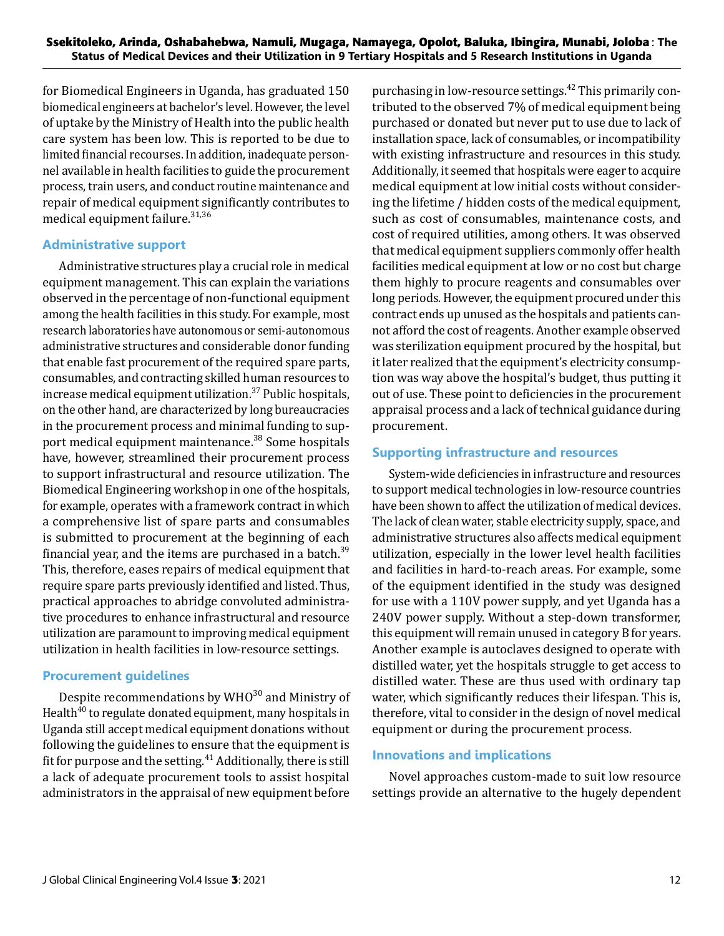for Biomedical Engineers in Uganda, has graduated 150 biomedical engineers at bachelor's level. However, the level of uptake by the Ministry of Health into the public health care system has been low. This is reported to be due to limited financial recourses. In addition, inadequate personnel available in health facilities to guide the procurement process, train users, and conduct routine maintenance and repair of medical equipment significantly contributes to medical equipment failure. $31,36$ 

### **Administrative support**

Administrative structures play a crucial role in medical equipment management. This can explain the variations observed in the percentage of non-functional equipment among the health facilities in this study. For example, most research laboratories have autonomous or semi-autonomous administrative structures and considerable donor funding that enable fast procurement of the required spare parts, consumables, and contracting skilled human resources to increase medical equipment utilization. $37$  Public hospitals, on the other hand, are characterized by long bureaucracies in the procurement process and minimal funding to support medical equipment maintenance.<sup>38</sup> Some hospitals have, however, streamlined their procurement process to support infrastructural and resource utilization. The Biomedical Engineering workshop in one of the hospitals, for example, operates with a framework contract in which a comprehensive list of spare parts and consumables is submitted to procurement at the beginning of each financial year, and the items are purchased in a batch.<sup>39</sup> This, therefore, eases repairs of medical equipment that require spare parts previously identified and listed. Thus, practical approaches to abridge convoluted administrative procedures to enhance infrastructural and resource utilization are paramount to improving medical equipment utilization in health facilities in low-resource settings.

# **Procurement guidelines**

Despite recommendations by  $WHO^{30}$  and Ministry of Health $40$  to regulate donated equipment, many hospitals in Uganda still accept medical equipment donations without following the guidelines to ensure that the equipment is fit for purpose and the setting. $41$  Additionally, there is still a lack of adequate procurement tools to assist hospital administrators in the appraisal of new equipment before purchasing in low-resource settings.<sup>42</sup> This primarily contributed to the observed 7% of medical equipment being purchased or donated but never put to use due to lack of installation space, lack of consumables, or incompatibility with existing infrastructure and resources in this study. Additionally, it seemed that hospitals were eager to acquire medical equipment at low initial costs without considering the lifetime / hidden costs of the medical equipment, such as cost of consumables, maintenance costs, and cost of required utilities, among others. It was observed that medical equipment suppliers commonly offer health facilities medical equipment at low or no cost but charge them highly to procure reagents and consumables over long periods. However, the equipment procured under this contract ends up unused as the hospitals and patients cannot afford the cost of reagents. Another example observed was sterilization equipment procured by the hospital, but it later realized that the equipment's electricity consumption was way above the hospital's budget, thus putting it out of use. These point to deficiencies in the procurement appraisal process and a lack of technical guidance during procurement.

# **Supporting infrastructure and resources**

System-wide deficiencies in infrastructure and resources to support medical technologies in low-resource countries have been shown to affect the utilization of medical devices. The lack of clean water, stable electricity supply, space, and administrative structures also affects medical equipment utilization, especially in the lower level health facilities and facilities in hard-to-reach areas. For example, some of the equipment identified in the study was designed for use with a 110V power supply, and yet Uganda has a 240V power supply. Without a step-down transformer, this equipment will remain unused in category B for years. Another example is autoclaves designed to operate with distilled water, yet the hospitals struggle to get access to distilled water. These are thus used with ordinary tap water, which significantly reduces their lifespan. This is, therefore, vital to consider in the design of novel medical equipment or during the procurement process.

# **Innovations and implications**

Novel approaches custom-made to suit low resource settings provide an alternative to the hugely dependent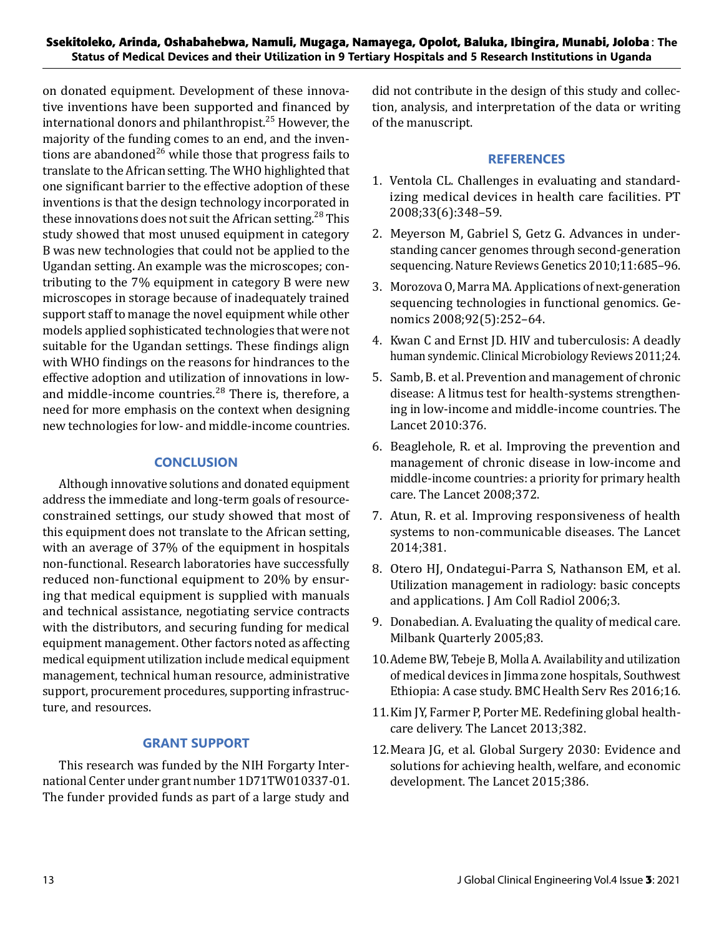on donated equipment. Development of these innovative inventions have been supported and financed by international donors and philanthropist.<sup>25</sup> However, the majority of the funding comes to an end, and the inventions are abandoned<sup>26</sup> while those that progress fails to translate to the African setting. The WHO highlighted that one significant barrier to the effective adoption of these inventions is that the design technology incorporated in these innovations does not suit the African setting.<sup>28</sup> This study showed that most unused equipment in category B was new technologies that could not be applied to the Ugandan setting. An example was the microscopes; contributing to the 7% equipment in category B were new microscopes in storage because of inadequately trained support staff to manage the novel equipment while other models applied sophisticated technologies that were not suitable for the Ugandan settings. These findings align with WHO findings on the reasons for hindrances to the effective adoption and utilization of innovations in lowand middle-income countries.<sup>28</sup> There is, therefore, a need for more emphasis on the context when designing new technologies for low- and middle-income countries.

# **CONCLUSION**

Although innovative solutions and donated equipment address the immediate and long-term goals of resourceconstrained settings, our study showed that most of this equipment does not translate to the African setting, with an average of 37% of the equipment in hospitals non-functional. Research laboratories have successfully reduced non-functional equipment to 20% by ensuring that medical equipment is supplied with manuals and technical assistance, negotiating service contracts with the distributors, and securing funding for medical equipment management. Other factors noted as affecting medical equipment utilization include medical equipment management, technical human resource, administrative support, procurement procedures, supporting infrastructure, and resources.

# **GRANT SUPPORT**

This research was funded by the NIH Forgarty International Center under grant number 1D71TW010337-01. The funder provided funds as part of a large study and did not contribute in the design of this study and collection, analysis, and interpretation of the data or writing of the manuscript.

# **REFERENCES**

- 1. Ventola CL. Challenges in evaluating and standardizing medical devices in health care facilities. PT 2008;33(6):348–59.
- 2. Meyerson M, Gabriel S, Getz G. Advances in understanding cancer genomes through second-generation sequencing. Nature Reviews Genetics 2010;11:685–96.
- 3. Morozova O, Marra MA. Applications of next-generation sequencing technologies in functional genomics. Genomics 2008;92(5):252–64.
- 4. Kwan C and Ernst JD. HIV and tuberculosis: A deadly human syndemic. Clinical Microbiology Reviews 2011;24.
- 5. Samb, B. et al. Prevention and management of chronic disease: A litmus test for health-systems strengthening in low-income and middle-income countries. The Lancet 2010:376.
- 6. Beaglehole, R. et al. Improving the prevention and management of chronic disease in low-income and middle-income countries: a priority for primary health care. The Lancet 2008;372.
- 7. Atun, R. et al. Improving responsiveness of health systems to non-communicable diseases. The Lancet 2014;381.
- 8. Otero HJ, Ondategui-Parra S, Nathanson EM, et al. Utilization management in radiology: basic concepts and applications. J Am Coll Radiol 2006;3.
- 9. Donabedian. A. Evaluating the quality of medical care. Milbank Quarterly 2005;83.
- 10.Ademe BW, Tebeje B, Molla A. Availability and utilization of medical devices in Jimma zone hospitals, Southwest Ethiopia: A case study. BMC Health Serv Res 2016;16.
- 11.Kim JY, Farmer P, Porter ME. Redefining global healthcare delivery. The Lancet 2013;382.
- 12.Meara JG, et al. Global Surgery 2030: Evidence and solutions for achieving health, welfare, and economic development. The Lancet 2015;386.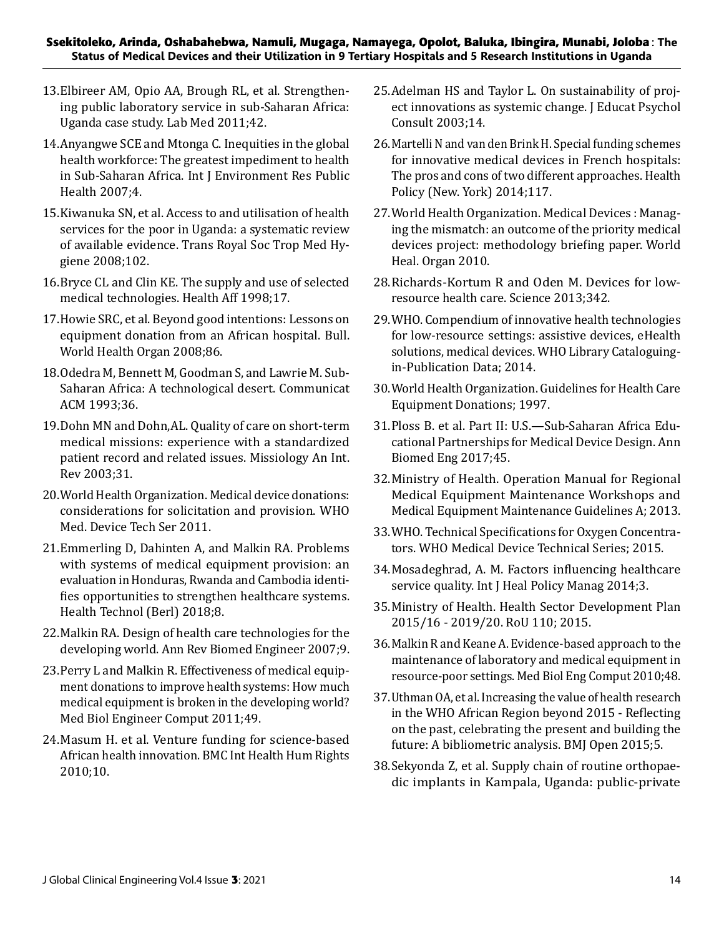### **Ssekitoleko, Arinda, Oshabahebwa, Namuli, Mugaga, Namayega, Opolot, Baluka, Ibingira, Munabi, Joloba**: **The Status of Medical Devices and their Utilization in 9 Tertiary Hospitals and 5 Research Institutions in Uganda**

- 13.Elbireer AM, Opio AA, Brough RL, et al. Strengthening public laboratory service in sub-Saharan Africa: Uganda case study. Lab Med 2011;42.
- 14.Anyangwe SCE and Mtonga C. Inequities in the global health workforce: The greatest impediment to health in Sub-Saharan Africa. Int J Environment Res Public Health 2007;4.
- 15.Kiwanuka SN, et al. Access to and utilisation of health services for the poor in Uganda: a systematic review of available evidence. Trans Royal Soc Trop Med Hygiene 2008;102.
- 16.Bryce CL and Clin KE. The supply and use of selected medical technologies. Health Aff 1998;17.
- 17.Howie SRC, et al. Beyond good intentions: Lessons on equipment donation from an African hospital. Bull. World Health Organ 2008;86.
- 18.Odedra M, Bennett M, Goodman S, and Lawrie M. Sub-Saharan Africa: A technological desert. Communicat ACM 1993;36.
- 19.Dohn MN and Dohn,AL. Quality of care on short-term medical missions: experience with a standardized patient record and related issues. Missiology An Int. Rev 2003;31.
- 20.World Health Organization. Medical device donations: considerations for solicitation and provision. WHO Med. Device Tech Ser 2011.
- 21.Emmerling D, Dahinten A, and Malkin RA. Problems with systems of medical equipment provision: an evaluation in Honduras, Rwanda and Cambodia identifies opportunities to strengthen healthcare systems. Health Technol (Berl) 2018;8.
- 22.Malkin RA. Design of health care technologies for the developing world. Ann Rev Biomed Engineer 2007;9.
- 23.Perry L and Malkin R. Effectiveness of medical equipment donations to improve health systems: How much medical equipment is broken in the developing world? Med Biol Engineer Comput 2011;49.
- 24.Masum H. et al. Venture funding for science-based African health innovation. BMC Int Health Hum Rights 2010;10.
- 25.Adelman HS and Taylor L. On sustainability of project innovations as systemic change. J Educat Psychol Consult 2003;14.
- 26.Martelli N and van den Brink H. Special funding schemes for innovative medical devices in French hospitals: The pros and cons of two different approaches. Health Policy (New. York) 2014;117.
- 27.World Health Organization. Medical Devices : Managing the mismatch: an outcome of the priority medical devices project: methodology briefing paper. World Heal. Organ 2010.
- 28.Richards-Kortum R and Oden M. Devices for lowresource health care. Science 2013;342.
- 29.WHO. Compendium of innovative health technologies for low-resource settings: assistive devices, eHealth solutions, medical devices. WHO Library Cataloguingin-Publication Data; 2014.
- 30.World Health Organization. Guidelines for Health Care Equipment Donations; 1997.
- 31.Ploss B. et al. Part II: U.S.—Sub-Saharan Africa Educational Partnerships for Medical Device Design. Ann Biomed Eng 2017;45.
- 32.Ministry of Health. Operation Manual for Regional Medical Equipment Maintenance Workshops and Medical Equipment Maintenance Guidelines A; 2013.
- 33.WHO. Technical Specifications for Oxygen Concentrators. WHO Medical Device Technical Series; 2015.
- 34.Mosadeghrad, A. M. Factors influencing healthcare service quality. Int J Heal Policy Manag 2014;3.
- 35.Ministry of Health. Health Sector Development Plan 2015/16 - 2019/20. RoU 110; 2015.
- 36.Malkin R and Keane A. Evidence-based approach to the maintenance of laboratory and medical equipment in resource-poor settings. Med Biol Eng Comput 2010;48.
- 37.Uthman OA, et al. Increasing the value of health research in the WHO African Region beyond 2015 - Reflecting on the past, celebrating the present and building the future: A bibliometric analysis. BMJ Open 2015;5.
- 38.Sekyonda Z, et al. Supply chain of routine orthopaedic implants in Kampala, Uganda: public-private